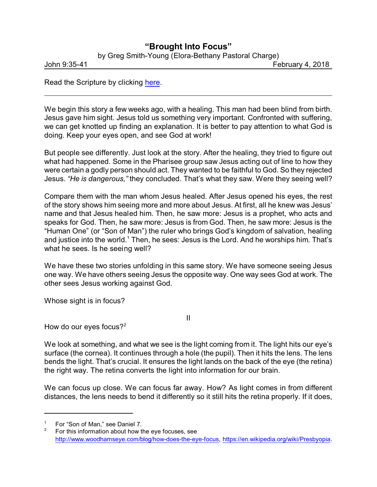## **"Brought Into Focus"**

by Greg Smith-Young (Elora-Bethany Pastoral Charge)

John 9:35-41 February 4, 2018

Read the Scripture by clicking [here](https://www.biblegateway.com/passage/?search=John+9%3A35-41&version=CEB).

We begin this story a few weeks ago, with a healing. This man had been blind from birth. Jesus gave him sight. Jesus told us something very important. Confronted with suffering, we can get knotted up finding an explanation. It is better to pay attention to what God is doing. Keep your eyes open, and see God at work!

But people see differently. Just look at the story. After the healing, they tried to figure out what had happened. Some in the Pharisee group saw Jesus acting out of line to how they were certain a godly person should act. They wanted to be faithful to God. So they rejected Jesus. *"He is dangerous,"* they concluded. That's what they saw. Were they seeing well?

Compare them with the man whom Jesus healed. After Jesus opened his eyes, the rest of the story shows him seeing more and more about Jesus. At first, all he knew was Jesus' name and that Jesus healed him. Then, he saw more: Jesus is a prophet, who acts and speaks for God. Then, he saw more: Jesus is from God. Then, he saw more: Jesus is the "Human One" (or "Son of Man") the ruler who brings God's kingdom of salvation, healing and justice into the world.<sup>1</sup> Then, he sees: Jesus is the Lord. And he worships him. That's what he sees. Is he seeing well?

We have these two stories unfolding in this same story. We have someone seeing Jesus one way. We have others seeing Jesus the opposite way. One way sees God at work. The other sees Jesus working against God.

Whose sight is in focus?

How do our eyes focus? $2^2$ 

We look at something, and what we see is the light coming from it. The light hits our eye's surface (the cornea). It continues through a hole (the pupil). Then it hits the lens. The lens bends the light. That's crucial. It ensures the light lands on the back of the eye (the retina) the right way. The retina converts the light into information for our brain.

II

We can focus up close. We can focus far away. How? As light comes in from different distances, the lens needs to bend it differently so it still hits the retina properly. If it does,

For "Son of Man," see Daniel 7.

For this information about how the eye focuses, see [http://www.woodhamseye.com/blog/how-does-the-eye-focus](http://www.woodhamseye.com/blog/how-does-the-eye-focus/), <https://en.wikipedia.org/wiki/Presbyopia>.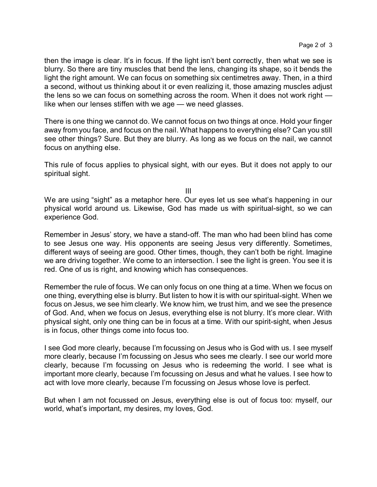then the image is clear. It's in focus. If the light isn't bent correctly, then what we see is blurry. So there are tiny muscles that bend the lens, changing its shape, so it bends the light the right amount. We can focus on something six centimetres away. Then, in a third a second, without us thinking about it or even realizing it, those amazing muscles adjust the lens so we can focus on something across the room. When it does not work right like when our lenses stiffen with we age — we need glasses.

There is one thing we cannot do. We cannot focus on two things at once. Hold your finger away from you face, and focus on the nail. What happens to everything else? Can you still see other things? Sure. But they are blurry. As long as we focus on the nail, we cannot focus on anything else.

This rule of focus applies to physical sight, with our eyes. But it does not apply to our spiritual sight.

III

We are using "sight" as a metaphor here. Our eyes let us see what's happening in our physical world around us. Likewise, God has made us with spiritual-sight, so we can experience God.

Remember in Jesus' story, we have a stand-off. The man who had been blind has come to see Jesus one way. His opponents are seeing Jesus very differently. Sometimes, different ways of seeing are good. Other times, though, they can't both be right. Imagine we are driving together. We come to an intersection. I see the light is green. You see it is red. One of us is right, and knowing which has consequences.

Remember the rule of focus. We can only focus on one thing at a time. When we focus on one thing, everything else is blurry. But listen to how it is with our spiritual-sight. When we focus on Jesus, we see him clearly. We know him, we trust him, and we see the presence of God. And, when we focus on Jesus, everything else is not blurry. It's more clear. With physical sight, only one thing can be in focus at a time. With our spirit-sight, when Jesus is in focus, other things come into focus too.

I see God more clearly, because I'm focussing on Jesus who is God with us. I see myself more clearly, because I'm focussing on Jesus who sees me clearly. I see our world more clearly, because I'm focussing on Jesus who is redeeming the world. I see what is important more clearly, because I'm focussing on Jesus and what he values. I see how to act with love more clearly, because I'm focussing on Jesus whose love is perfect.

But when I am not focussed on Jesus, everything else is out of focus too: myself, our world, what's important, my desires, my loves, God.